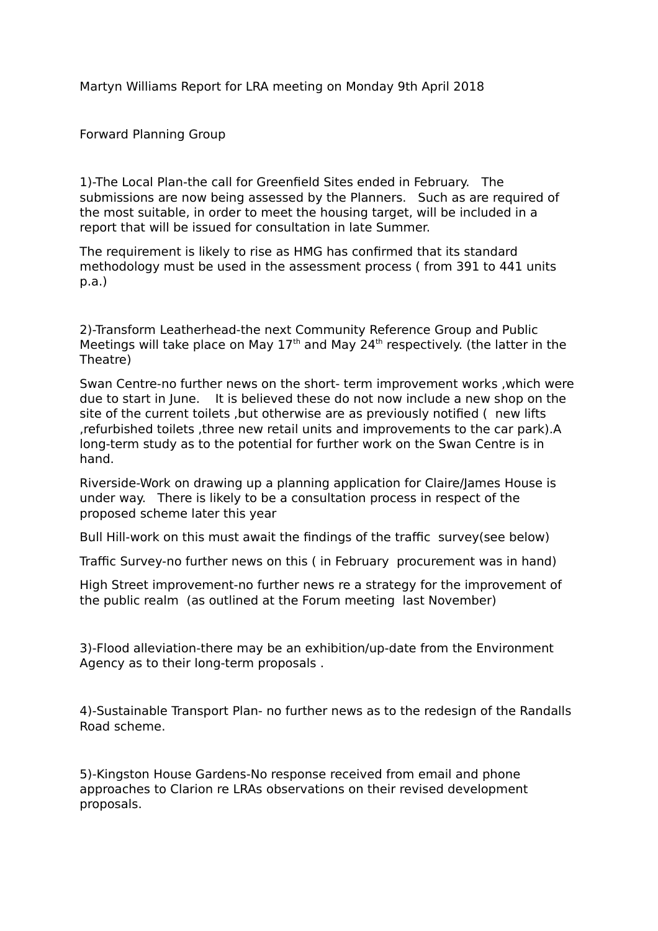Martyn Williams Report for LRA meeting on Monday 9th April 2018

Forward Planning Group

1)-The Local Plan-the call for Greenfield Sites ended in February. The submissions are now being assessed by the Planners. Such as are required of the most suitable, in order to meet the housing target, will be included in a report that will be issued for consultation in late Summer.

The requirement is likely to rise as HMG has confirmed that its standard methodology must be used in the assessment process ( from 391 to 441 units p.a.)

2)-Transform Leatherhead-the next Community Reference Group and Public Meetings will take place on May  $17<sup>th</sup>$  and May 24<sup>th</sup> respectively. (the latter in the Theatre)

Swan Centre-no further news on the short- term improvement works ,which were due to start in June. It is believed these do not now include a new shop on the site of the current toilets ,but otherwise are as previously notified ( new lifts ,refurbished toilets ,three new retail units and improvements to the car park).A long-term study as to the potential for further work on the Swan Centre is in hand.

Riverside-Work on drawing up a planning application for Claire/James House is under way. There is likely to be a consultation process in respect of the proposed scheme later this year

Bull Hill-work on this must await the findings of the traffic survey(see below)

Traffic Survey-no further news on this ( in February procurement was in hand)

High Street improvement-no further news re a strategy for the improvement of the public realm (as outlined at the Forum meeting last November)

3)-Flood alleviation-there may be an exhibition/up-date from the Environment Agency as to their long-term proposals .

4)-Sustainable Transport Plan- no further news as to the redesign of the Randalls Road scheme.

5)-Kingston House Gardens-No response received from email and phone approaches to Clarion re LRAs observations on their revised development proposals.